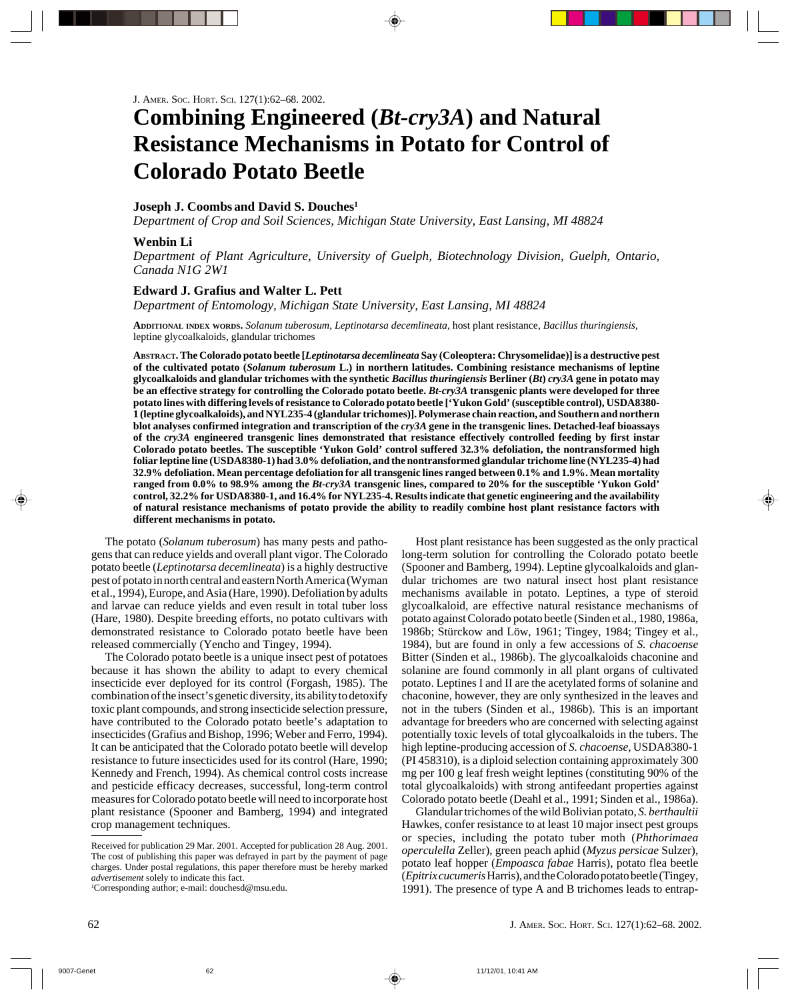# **Combining Engineered (***Bt-cry3A***) and Natural Resistance Mechanisms in Potato for Control of Colorado Potato Beetle**

## **Joseph J. Coombs and David S. Douches1**

*Department of Crop and Soil Sciences, Michigan State University, East Lansing, MI 48824*

### **Wenbin Li**

*Department of Plant Agriculture, University of Guelph, Biotechnology Division, Guelph, Ontario, Canada N1G 2W1*

### **Edward J. Grafius and Walter L. Pett**

*Department of Entomology, Michigan State University, East Lansing, MI 48824*

**ADDITIONAL INDEX WORDS.** *Solanum tuberosum, Leptinotarsa decemlineata,* host plant resistance, *Bacillus thuringiensis*, leptine glycoalkaloids, glandular trichomes

**ABSTRACT. The Colorado potato beetle [***Leptinotarsa decemlineata* **Say (Coleoptera: Chrysomelidae)] is a destructive pest of the cultivated potato (***Solanum tuberosum* **L.) in northern latitudes. Combining resistance mechanisms of leptine glycoalkaloids and glandular trichomes with the synthetic** *Bacillus thuringiensis* **Berliner (***Bt***)** *cry3A* **gene in potato may be an effective strategy for controlling the Colorado potato beetle.** *Bt-cry3A* **transgenic plants were developed for three potato lines with differing levels of resistance to Colorado potato beetle ['Yukon Gold' (susceptible control), USDA8380- 1 (leptine glycoalkaloids), and NYL235-4 (glandular trichomes)]. Polymerase chain reaction, and Southern and northern blot analyses confirmed integration and transcription of the** *cry3A* **gene in the transgenic lines. Detached-leaf bioassays of the** *cry3A* **engineered transgenic lines demonstrated that resistance effectively controlled feeding by first instar Colorado potato beetles. The susceptible 'Yukon Gold' control suffered 32.3% defoliation, the nontransformed high foliar leptine line (USDA8380-1) had 3.0% defoliation, and the nontransformed glandular trichome line (NYL235-4) had 32.9% defoliation. Mean percentage defoliation for all transgenic lines ranged between 0.1% and 1.9%. Mean mortality ranged from 0.0% to 98.9% among the** *Bt-cry3A* **transgenic lines, compared to 20% for the susceptible 'Yukon Gold' control, 32.2% for USDA8380-1, and 16.4% for NYL235-4. Results indicate that genetic engineering and the availability of natural resistance mechanisms of potato provide the ability to readily combine host plant resistance factors with different mechanisms in potato.**

The potato (*Solanum tuberosum*) has many pests and pathogens that can reduce yields and overall plant vigor. The Colorado potato beetle (*Leptinotarsa decemlineata*) is a highly destructive pest of potato in north central and eastern North America (Wyman et al., 1994), Europe, and Asia (Hare, 1990). Defoliation by adults and larvae can reduce yields and even result in total tuber loss (Hare, 1980). Despite breeding efforts, no potato cultivars with demonstrated resistance to Colorado potato beetle have been released commercially (Yencho and Tingey, 1994).

The Colorado potato beetle is a unique insect pest of potatoes because it has shown the ability to adapt to every chemical insecticide ever deployed for its control (Forgash, 1985). The combination of the insect's genetic diversity, its ability to detoxify toxic plant compounds, and strong insecticide selection pressure, have contributed to the Colorado potato beetle's adaptation to insecticides (Grafius and Bishop, 1996; Weber and Ferro, 1994). It can be anticipated that the Colorado potato beetle will develop resistance to future insecticides used for its control (Hare, 1990; Kennedy and French, 1994). As chemical control costs increase and pesticide efficacy decreases, successful, long-term control measures for Colorado potato beetle will need to incorporate host plant resistance (Spooner and Bamberg, 1994) and integrated crop management techniques.

Host plant resistance has been suggested as the only practical long-term solution for controlling the Colorado potato beetle (Spooner and Bamberg, 1994). Leptine glycoalkaloids and glandular trichomes are two natural insect host plant resistance mechanisms available in potato. Leptines, a type of steroid glycoalkaloid, are effective natural resistance mechanisms of potato against Colorado potato beetle (Sinden et al., 1980, 1986a, 1986b; Stürckow and Löw, 1961; Tingey, 1984; Tingey et al., 1984), but are found in only a few accessions of *S. chacoense* Bitter (Sinden et al., 1986b). The glycoalkaloids chaconine and solanine are found commonly in all plant organs of cultivated potato. Leptines I and II are the acetylated forms of solanine and chaconine, however, they are only synthesized in the leaves and not in the tubers (Sinden et al., 1986b). This is an important advantage for breeders who are concerned with selecting against potentially toxic levels of total glycoalkaloids in the tubers. The high leptine-producing accession of *S. chacoense,* USDA8380-1 (PI 458310), is a diploid selection containing approximately 300 mg per 100 g leaf fresh weight leptines (constituting 90% of the total glycoalkaloids) with strong antifeedant properties against Colorado potato beetle (Deahl et al., 1991; Sinden et al., 1986a).

Glandular trichomes of the wild Bolivian potato, *S. berthaultii* Hawkes, confer resistance to at least 10 major insect pest groups or species, including the potato tuber moth (*Phthorimaea operculella* Zeller), green peach aphid (*Myzus persicae* Sulzer), potato leaf hopper (*Empoasca fabae* Harris), potato flea beetle (*Epitrix cucumeris* Harris), and the Colorado potato beetle (Tingey, 1991). The presence of type A and B trichomes leads to entrap-

Received for publication 29 Mar. 2001. Accepted for publication 28 Aug. 2001. The cost of publishing this paper was defrayed in part by the payment of page charges. Under postal regulations, this paper therefore must be hereby marked *advertisement* solely to indicate this fact.

<sup>1</sup> Corresponding author; e-mail: douchesd@msu.edu.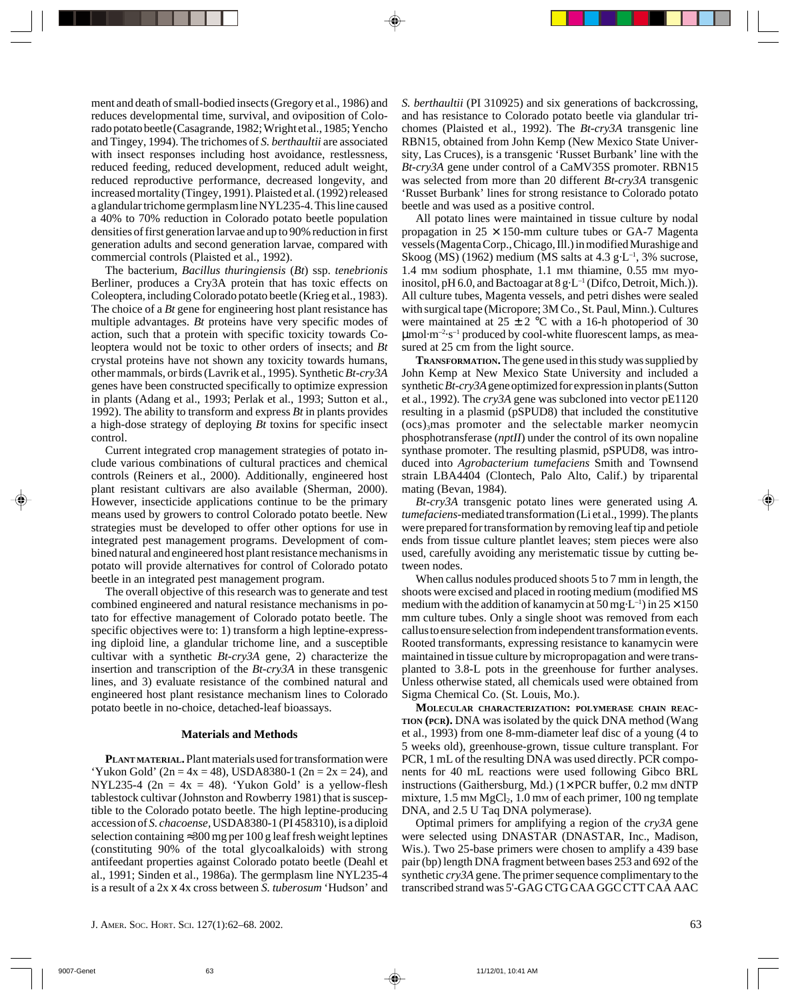ment and death of small-bodied insects (Gregory et al., 1986) and reduces developmental time, survival, and oviposition of Colorado potato beetle (Casagrande, 1982; Wright et al., 1985; Yencho and Tingey, 1994). The trichomes of *S. berthaultii* are associated with insect responses including host avoidance, restlessness, reduced feeding, reduced development, reduced adult weight, reduced reproductive performance, decreased longevity, and increased mortality (Tingey, 1991). Plaisted et al. (1992) released a glandular trichome germplasm line NYL235-4. This line caused a 40% to 70% reduction in Colorado potato beetle population densities of first generation larvae and up to 90% reduction in first generation adults and second generation larvae, compared with commercial controls (Plaisted et al., 1992).

The bacterium, *Bacillus thuringiensis* (*Bt*) ssp. *tenebrionis* Berliner, produces a Cry3A protein that has toxic effects on Coleoptera, including Colorado potato beetle (Krieg et al., 1983). The choice of a *Bt* gene for engineering host plant resistance has multiple advantages. *Bt* proteins have very specific modes of action, such that a protein with specific toxicity towards Coleoptera would not be toxic to other orders of insects; and *Bt* crystal proteins have not shown any toxicity towards humans, other mammals, or birds (Lavrik et al., 1995). Synthetic *Bt*-*cry3A* genes have been constructed specifically to optimize expression in plants (Adang et al., 1993; Perlak et al., 1993; Sutton et al., 1992). The ability to transform and express *Bt* in plants provides a high-dose strategy of deploying *Bt* toxins for specific insect control.

Current integrated crop management strategies of potato include various combinations of cultural practices and chemical controls (Reiners et al., 2000). Additionally, engineered host plant resistant cultivars are also available (Sherman, 2000). However, insecticide applications continue to be the primary means used by growers to control Colorado potato beetle. New strategies must be developed to offer other options for use in integrated pest management programs. Development of combined natural and engineered host plant resistance mechanisms in potato will provide alternatives for control of Colorado potato beetle in an integrated pest management program.

The overall objective of this research was to generate and test combined engineered and natural resistance mechanisms in potato for effective management of Colorado potato beetle. The specific objectives were to: 1) transform a high leptine-expressing diploid line, a glandular trichome line, and a susceptible cultivar with a synthetic *Bt-cry3A* gene, 2) characterize the insertion and transcription of the *Bt-cry3A* in these transgenic lines, and 3) evaluate resistance of the combined natural and engineered host plant resistance mechanism lines to Colorado potato beetle in no-choice, detached-leaf bioassays.

#### **Materials and Methods**

**PLANT MATERIAL.** Plant materials used for transformation were 'Yukon Gold'  $(2n = 4x = 48)$ , USDA8380-1  $(2n = 2x = 24)$ , and NYL235-4 (2n = 4x = 48). 'Yukon Gold' is a yellow-flesh tablestock cultivar (Johnston and Rowberry 1981) that is susceptible to the Colorado potato beetle. The high leptine-producing accession of *S. chacoense,* USDA8380-1 (PI 458310), is a diploid selection containing ≈300 mg per 100 g leaf fresh weight leptines (constituting 90% of the total glycoalkaloids) with strong antifeedant properties against Colorado potato beetle (Deahl et al., 1991; Sinden et al., 1986a). The germplasm line NYL235-4 is a result of a 2x x 4x cross between *S. tuberosum* 'Hudson' and

*S. berthaultii* (PI 310925) and six generations of backcrossing, and has resistance to Colorado potato beetle via glandular trichomes (Plaisted et al., 1992). The *Bt-cry3A* transgenic line RBN15, obtained from John Kemp (New Mexico State University, Las Cruces), is a transgenic 'Russet Burbank' line with the *Bt-cry3A* gene under control of a CaMV35S promoter. RBN15 was selected from more than 20 different *Bt-cry3A* transgenic 'Russet Burbank' lines for strong resistance to Colorado potato beetle and was used as a positive control.

All potato lines were maintained in tissue culture by nodal propagation in  $25 \times 150$ -mm culture tubes or GA-7 Magenta vessels (Magenta Corp., Chicago, Ill.) in modified Murashige and Skoog (MS) (1962) medium (MS salts at  $4.3 \text{ g} \cdot \text{L}^{-1}$ , 3% sucrose, 1.4 mm sodium phosphate, 1.1 mm thiamine, 0.55 mm myoinositol, pH 6.0, and Bactoagar at  $8 \text{ g} \cdot \text{L}^{-1}$  (Difco, Detroit, Mich.)). All culture tubes, Magenta vessels, and petri dishes were sealed with surgical tape (Micropore; 3M Co., St. Paul, Minn.). Cultures were maintained at  $25 \pm 2$  °C with a 16-h photoperiod of 30  $\mu$ mol·m<sup>-2</sup>·s<sup>-1</sup> produced by cool-white fluorescent lamps, as measured at 25 cm from the light source.

**TRANSFORMATION.** The gene used in this study was supplied by John Kemp at New Mexico State University and included a synthetic *Bt-cry3A* gene optimized for expression in plants (Sutton et al., 1992). The *cry3A* gene was subcloned into vector pE1120 resulting in a plasmid (pSPUD8) that included the constitutive  $(ocs)$ <sub>3</sub>mas promoter and the selectable marker neomycin phosphotransferase (*nptII*) under the control of its own nopaline synthase promoter. The resulting plasmid, pSPUD8, was introduced into *Agrobacterium tumefaciens* Smith and Townsend strain LBA4404 (Clontech, Palo Alto, Calif.) by triparental mating (Bevan, 1984).

*Bt*-*cry3A* transgenic potato lines were generated using *A. tumefaciens*-mediated transformation (Li et al., 1999). The plants were prepared for transformation by removing leaf tip and petiole ends from tissue culture plantlet leaves; stem pieces were also used, carefully avoiding any meristematic tissue by cutting between nodes.

When callus nodules produced shoots 5 to 7 mm in length, the shoots were excised and placed in rooting medium (modified MS medium with the addition of kanamycin at  $50 \,\text{mg-L}^{-1}$ ) in  $25 \times 150$ mm culture tubes. Only a single shoot was removed from each callus to ensure selection from independent transformation events. Rooted transformants, expressing resistance to kanamycin were maintained in tissue culture by micropropagation and were transplanted to 3.8-L pots in the greenhouse for further analyses. Unless otherwise stated, all chemicals used were obtained from Sigma Chemical Co. (St. Louis, Mo.).

**MOLECULAR CHARACTERIZATION: POLYMERASE CHAIN REAC-TION (PCR).** DNA was isolated by the quick DNA method (Wang et al., 1993) from one 8-mm-diameter leaf disc of a young (4 to 5 weeks old), greenhouse-grown, tissue culture transplant. For PCR, 1 mL of the resulting DNA was used directly. PCR components for 40 mL reactions were used following Gibco BRL instructions (Gaithersburg, Md.)  $(1 \times PCR)$  buffer, 0.2 mm dNTP mixture,  $1.5 \text{ mm MgCl}_2$ ,  $1.0 \text{ mm of each primer}$ ,  $100 \text{ ng template}$ DNA, and 2.5 U Taq DNA polymerase).

Optimal primers for amplifying a region of the *cry3A* gene were selected using DNASTAR (DNASTAR, Inc., Madison, Wis.). Two 25-base primers were chosen to amplify a 439 base pair (bp) length DNA fragment between bases 253 and 692 of the synthetic *cry3A* gene. The primer sequence complimentary to the transcribed strand was 5'-GAG CTG CAA GGC CTT CAA AAC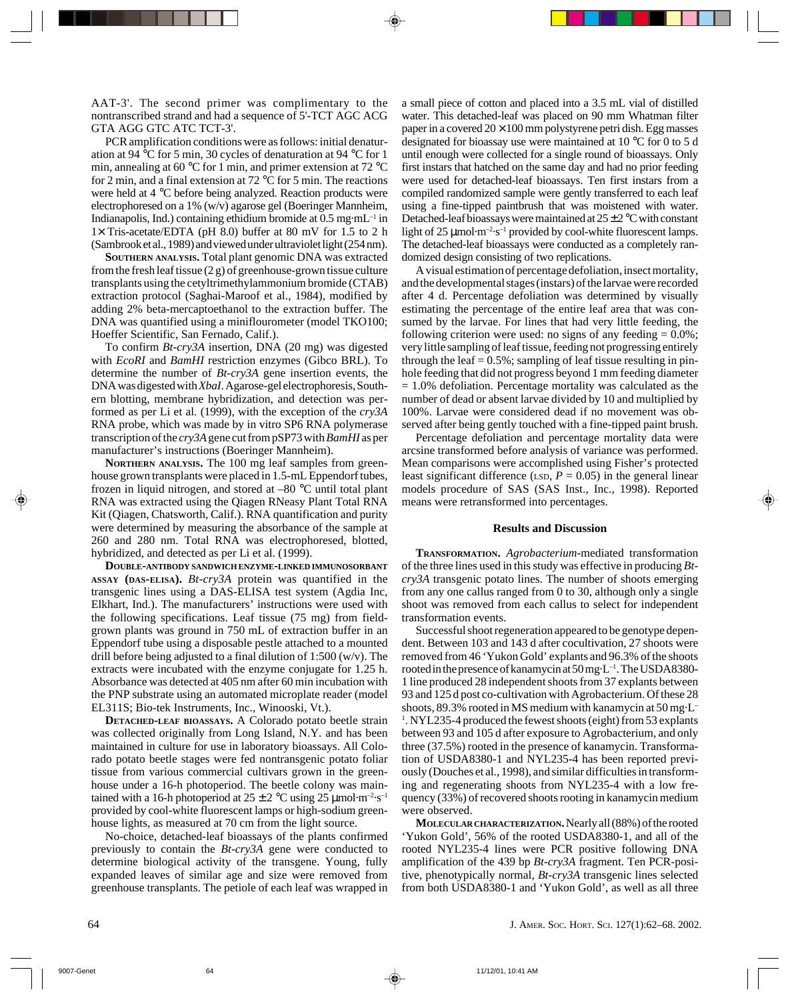AAT-3'. The second primer was complimentary to the nontranscribed strand and had a sequence of 5'-TCT AGC ACG GTA AGG GTC ATC TCT-3'.

PCR amplification conditions were as follows: initial denaturation at 94 °C for 5 min, 30 cycles of denaturation at 94 °C for 1 min, annealing at 60 °C for 1 min, and primer extension at 72 °C for 2 min, and a final extension at 72 °C for 5 min. The reactions were held at 4 °C before being analyzed. Reaction products were electrophoresed on a 1% (w/v) agarose gel (Boeringer Mannheim, Indianapolis, Ind.) containing ethidium bromide at  $0.5$  mg·mL<sup>-1</sup> in  $1\times$  Tris-acetate/EDTA (pH 8.0) buffer at 80 mV for 1.5 to 2 h (Sambrook et al., 1989) and viewed under ultraviolet light (254 nm).

**SOUTHERN ANALYSIS.** Total plant genomic DNA was extracted from the fresh leaf tissue (2 g) of greenhouse-grown tissue culture transplants using the cetyltrimethylammonium bromide (CTAB) extraction protocol (Saghai-Maroof et al., 1984), modified by adding 2% beta-mercaptoethanol to the extraction buffer. The DNA was quantified using a miniflourometer (model TKO100; Hoeffer Scientific, San Fernado, Calif.).

To confirm *Bt-cry3A* insertion, DNA (20 mg) was digested with *EcoRI* and *BamHI* restriction enzymes (Gibco BRL). To determine the number of *Bt-cry3A* gene insertion events, the DNA was digested with *XbaI*. Agarose-gel electrophoresis, Southern blotting, membrane hybridization, and detection was performed as per Li et al. (1999), with the exception of the *cry3A* RNA probe, which was made by in vitro SP6 RNA polymerase transcription of the *cry3A* gene cut from pSP73 with *BamHI* as per manufacturer's instructions (Boeringer Mannheim).

**NORTHERN ANALYSIS.** The 100 mg leaf samples from greenhouse grown transplants were placed in 1.5-mL Eppendorf tubes, frozen in liquid nitrogen, and stored at –80 °C until total plant RNA was extracted using the Qiagen RNeasy Plant Total RNA Kit (Qiagen, Chatsworth, Calif.). RNA quantification and purity were determined by measuring the absorbance of the sample at 260 and 280 nm. Total RNA was electrophoresed, blotted, hybridized, and detected as per Li et al. (1999).

**DOUBLE-ANTIBODY SANDWICH ENZYME-LINKED IMMUNOSORBANT ASSAY (DAS-ELISA).** *Bt-cry3A* protein was quantified in the transgenic lines using a DAS-ELISA test system (Agdia Inc, Elkhart, Ind.). The manufacturers' instructions were used with the following specifications. Leaf tissue (75 mg) from fieldgrown plants was ground in 750 mL of extraction buffer in an Eppendorf tube using a disposable pestle attached to a mounted drill before being adjusted to a final dilution of 1:500 (w/v). The extracts were incubated with the enzyme conjugate for 1.25 h. Absorbance was detected at 405 nm after 60 min incubation with the PNP substrate using an automated microplate reader (model EL311S; Bio-tek Instruments, Inc., Winooski, Vt.).

**DETACHED-LEAF BIOASSAYS.** A Colorado potato beetle strain was collected originally from Long Island, N.Y. and has been maintained in culture for use in laboratory bioassays. All Colorado potato beetle stages were fed nontransgenic potato foliar tissue from various commercial cultivars grown in the greenhouse under a 16-h photoperiod. The beetle colony was maintained with a 16-h photoperiod at  $25 \pm 2$  °C using 25 µmol·m<sup>-2</sup>·s<sup>-1</sup> provided by cool-white fluorescent lamps or high-sodium greenhouse lights, as measured at 70 cm from the light source.

No-choice, detached-leaf bioassays of the plants confirmed previously to contain the *Bt-cry3A* gene were conducted to determine biological activity of the transgene. Young, fully expanded leaves of similar age and size were removed from greenhouse transplants. The petiole of each leaf was wrapped in a small piece of cotton and placed into a 3.5 mL vial of distilled water. This detached-leaf was placed on 90 mm Whatman filter paper in a covered  $20 \times 100$  mm polystyrene petri dish. Egg masses designated for bioassay use were maintained at 10 °C for 0 to 5 d until enough were collected for a single round of bioassays. Only first instars that hatched on the same day and had no prior feeding were used for detached-leaf bioassays. Ten first instars from a compiled randomized sample were gently transferred to each leaf using a fine-tipped paintbrush that was moistened with water. Detached-leaf bioassays were maintained at  $25 \pm 2$  °C with constant light of  $25 \mu$ mol·m<sup>-2</sup>·s<sup>-1</sup> provided by cool-white fluorescent lamps. The detached-leaf bioassays were conducted as a completely randomized design consisting of two replications.

A visual estimation of percentage defoliation, insect mortality, and the developmental stages (instars) of the larvae were recorded after 4 d. Percentage defoliation was determined by visually estimating the percentage of the entire leaf area that was consumed by the larvae. For lines that had very little feeding, the following criterion were used: no signs of any feeding  $= 0.0\%$ ; very little sampling of leaf tissue, feeding not progressing entirely through the leaf  $= 0.5\%$ ; sampling of leaf tissue resulting in pinhole feeding that did not progress beyond 1 mm feeding diameter  $= 1.0\%$  defoliation. Percentage mortality was calculated as the number of dead or absent larvae divided by 10 and multiplied by 100%. Larvae were considered dead if no movement was observed after being gently touched with a fine-tipped paint brush.

Percentage defoliation and percentage mortality data were arcsine transformed before analysis of variance was performed. Mean comparisons were accomplished using Fisher's protected least significant difference (LSD,  $P = 0.05$ ) in the general linear models procedure of SAS (SAS Inst., Inc., 1998). Reported means were retransformed into percentages.

### **Results and Discussion**

**TRANSFORMATION.** *Agrobacterium*-mediated transformation of the three lines used in this study was effective in producing *Btcry3A* transgenic potato lines. The number of shoots emerging from any one callus ranged from 0 to 30, although only a single shoot was removed from each callus to select for independent transformation events.

Successful shoot regeneration appeared to be genotype dependent. Between 103 and 143 d after cocultivation, 27 shoots were removed from 46 'Yukon Gold' explants and 96.3% of the shoots rooted in the presence of kanamycin at 50 mg·L<sup>-1</sup>. The USDA8380-1 line produced 28 independent shoots from 37 explants between 93 and 125 d post co-cultivation with Agrobacterium. Of these 28 shoots, 89.3% rooted in MS medium with kanamycin at 50 mg·L– <sup>1</sup>. NYL235-4 produced the fewest shoots (eight) from 53 explants between 93 and 105 d after exposure to Agrobacterium, and only three (37.5%) rooted in the presence of kanamycin. Transformation of USDA8380-1 and NYL235-4 has been reported previously (Douches et al., 1998), and similar difficulties in transforming and regenerating shoots from NYL235-4 with a low frequency (33%) of recovered shoots rooting in kanamycin medium were observed.

**MOLECULAR CHARACTERIZATION.**Nearly all (88%) of the rooted 'Yukon Gold', 56% of the rooted USDA8380-1, and all of the rooted NYL235-4 lines were PCR positive following DNA amplification of the 439 bp *Bt-cry3A* fragment. Ten PCR-positive, phenotypically normal, *Bt-cry3A* transgenic lines selected from both USDA8380-1 and 'Yukon Gold', as well as all three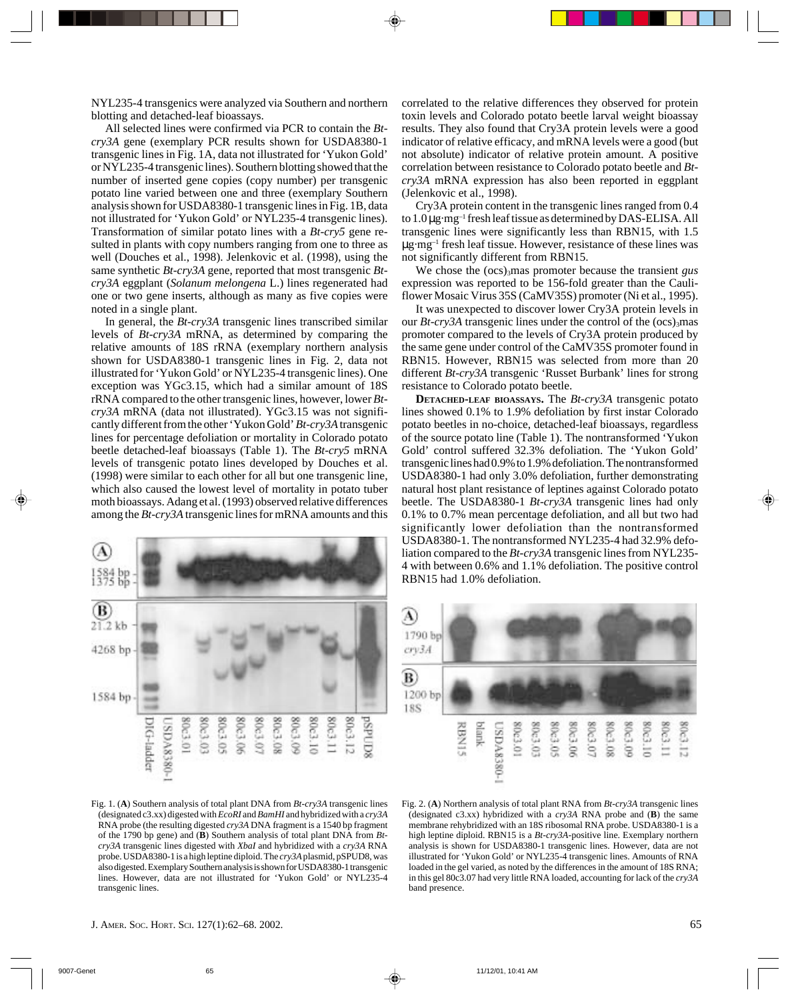NYL235-4 transgenics were analyzed via Southern and northern blotting and detached-leaf bioassays.

All selected lines were confirmed via PCR to contain the *Btcry3A* gene (exemplary PCR results shown for USDA8380-1 transgenic lines in Fig. 1A, data not illustrated for 'Yukon Gold' or NYL235-4 transgenic lines). Southern blotting showed that the number of inserted gene copies (copy number) per transgenic potato line varied between one and three (exemplary Southern analysis shown for USDA8380-1 transgenic lines in Fig. 1B, data not illustrated for 'Yukon Gold' or NYL235-4 transgenic lines). Transformation of similar potato lines with a *Bt-cry5* gene resulted in plants with copy numbers ranging from one to three as well (Douches et al., 1998). Jelenkovic et al. (1998), using the same synthetic *Bt-cry3A* gene, reported that most transgenic *Btcry3A* eggplant (*Solanum melongena* L.) lines regenerated had one or two gene inserts, although as many as five copies were noted in a single plant.

In general, the *Bt-cry3A* transgenic lines transcribed similar levels of *Bt-cry3A* mRNA, as determined by comparing the relative amounts of 18S rRNA (exemplary northern analysis shown for USDA8380-1 transgenic lines in Fig. 2, data not illustrated for 'Yukon Gold' or NYL235-4 transgenic lines). One exception was YGc3.15, which had a similar amount of 18S rRNA compared to the other transgenic lines, however, lower *Btcry3A* mRNA (data not illustrated). YGc3.15 was not significantly different from the other 'Yukon Gold'*Bt-cry3A* transgenic lines for percentage defoliation or mortality in Colorado potato beetle detached-leaf bioassays (Table 1). The *Bt-cry5* mRNA levels of transgenic potato lines developed by Douches et al. (1998) were similar to each other for all but one transgenic line, which also caused the lowest level of mortality in potato tuber moth bioassays. Adang et al. (1993) observed relative differences among the *Bt-cry3A* transgenic lines for mRNA amounts and this



correlated to the relative differences they observed for protein toxin levels and Colorado potato beetle larval weight bioassay results. They also found that Cry3A protein levels were a good indicator of relative efficacy, and mRNA levels were a good (but not absolute) indicator of relative protein amount. A positive correlation between resistance to Colorado potato beetle and *Btcry3A* mRNA expression has also been reported in eggplant (Jelenkovic et al., 1998).

Cry3A protein content in the transgenic lines ranged from 0.4 to 1.0 µg·mg–1 fresh leaf tissue as determined by DAS-ELISA. All transgenic lines were significantly less than RBN15, with 1.5 µg·mg–1 fresh leaf tissue. However, resistance of these lines was not significantly different from RBN15.

We chose the (ocs)<sub>3</sub>mas promoter because the transient *gus* expression was reported to be 156-fold greater than the Cauliflower Mosaic Virus 35S (CaMV35S) promoter (Ni et al., 1995).

It was unexpected to discover lower Cry3A protein levels in our  $Bt$ -*cry3A* transgenic lines under the control of the  $(ocs)_{3}$ mas promoter compared to the levels of Cry3A protein produced by the same gene under control of the CaMV35S promoter found in RBN15. However, RBN15 was selected from more than 20 different *Bt-cry3A* transgenic 'Russet Burbank' lines for strong resistance to Colorado potato beetle.

**DETACHED-LEAF BIOASSAYS.** The *Bt-cry3A* transgenic potato lines showed 0.1% to 1.9% defoliation by first instar Colorado potato beetles in no-choice, detached-leaf bioassays, regardless of the source potato line (Table 1). The nontransformed 'Yukon Gold' control suffered 32.3% defoliation. The 'Yukon Gold' transgenic lines had 0.9% to 1.9% defoliation. The nontransformed USDA8380-1 had only 3.0% defoliation, further demonstrating natural host plant resistance of leptines against Colorado potato beetle. The USDA8380-1 *Bt-cry3A* transgenic lines had only 0.1% to 0.7% mean percentage defoliation, and all but two had significantly lower defoliation than the nontransformed USDA8380-1. The nontransformed NYL235-4 had 32.9% defoliation compared to the *Bt-cry3A* transgenic lines from NYL235- 4 with between 0.6% and 1.1% defoliation. The positive control RBN15 had 1.0% defoliation.



Fig. 1. (**A**) Southern analysis of total plant DNA from *Bt-cry3A* transgenic lines (designated c3.xx) digested with *EcoRI* and *BamHI* and hybridized with a *cry3A* RNA probe (the resulting digested *cry3A* DNA fragment is a 1540 bp fragment of the 1790 bp gene) and (**B**) Southern analysis of total plant DNA from *Btcry3A* transgenic lines digested with *XbaI* and hybridized with a *cry3A* RNA probe. USDA8380-1 is a high leptine diploid. The *cry3A* plasmid, pSPUD8, was also digested. Exemplary Southern analysis is shown for USDA8380-1 transgenic lines. However, data are not illustrated for 'Yukon Gold' or NYL235-4 transgenic lines.

Fig. 2. (**A**) Northern analysis of total plant RNA from *Bt-cry3A* transgenic lines (designated c3.xx) hybridized with a *cry3A* RNA probe and (**B**) the same membrane rehybridized with an 18S ribosomal RNA probe. USDA8380-1 is a high leptine diploid. RBN15 is a *Bt-cry3A-*positive line. Exemplary northern analysis is shown for USDA8380-1 transgenic lines. However, data are not illustrated for 'Yukon Gold' or NYL235-4 transgenic lines. Amounts of RNA loaded in the gel varied, as noted by the differences in the amount of 18S RNA; in this gel 80c3.07 had very little RNA loaded, accounting for lack of the *cry3A* band presence.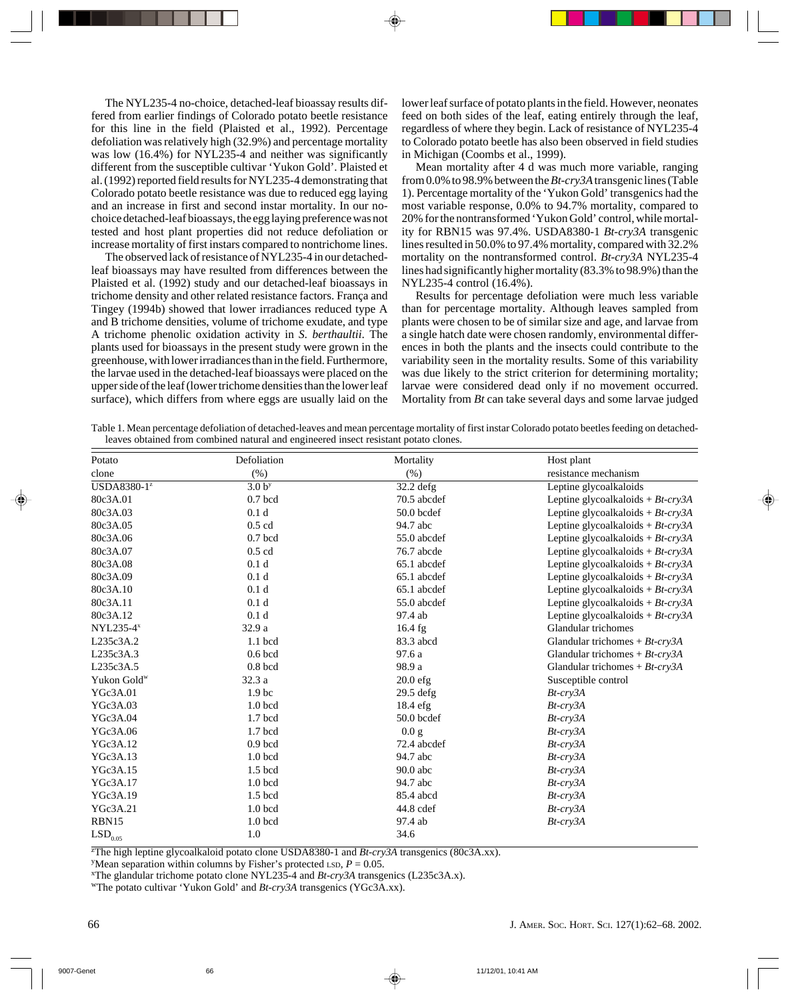The NYL235-4 no-choice, detached-leaf bioassay results differed from earlier findings of Colorado potato beetle resistance for this line in the field (Plaisted et al., 1992). Percentage defoliation was relatively high (32.9%) and percentage mortality was low (16.4%) for NYL235-4 and neither was significantly different from the susceptible cultivar 'Yukon Gold'. Plaisted et al. (1992) reported field results for NYL235-4 demonstrating that Colorado potato beetle resistance was due to reduced egg laying and an increase in first and second instar mortality. In our nochoice detached-leaf bioassays, the egg laying preference was not tested and host plant properties did not reduce defoliation or increase mortality of first instars compared to nontrichome lines.

The observed lack of resistance of NYL235-4 in our detachedleaf bioassays may have resulted from differences between the Plaisted et al. (1992) study and our detached-leaf bioassays in trichome density and other related resistance factors. França and Tingey (1994b) showed that lower irradiances reduced type A and B trichome densities, volume of trichome exudate, and type A trichome phenolic oxidation activity in *S. berthaultii*. The plants used for bioassays in the present study were grown in the greenhouse, with lower irradiances than in the field. Furthermore, the larvae used in the detached-leaf bioassays were placed on the upper side of the leaf (lower trichome densities than the lower leaf surface), which differs from where eggs are usually laid on the

lower leaf surface of potato plants in the field. However, neonates feed on both sides of the leaf, eating entirely through the leaf, regardless of where they begin. Lack of resistance of NYL235-4 to Colorado potato beetle has also been observed in field studies in Michigan (Coombs et al., 1999).

Mean mortality after 4 d was much more variable, ranging from 0.0% to 98.9% between the *Bt-cry3A* transgenic lines (Table 1). Percentage mortality of the 'Yukon Gold' transgenics had the most variable response, 0.0% to 94.7% mortality, compared to 20% for the nontransformed 'Yukon Gold' control, while mortality for RBN15 was 97.4%. USDA8380-1 *Bt-cry3A* transgenic lines resulted in 50.0% to 97.4% mortality, compared with 32.2% mortality on the nontransformed control. *Bt-cry3A* NYL235-4 lines had significantly higher mortality (83.3% to 98.9%) than the NYL235-4 control (16.4%).

Results for percentage defoliation were much less variable than for percentage mortality. Although leaves sampled from plants were chosen to be of similar size and age, and larvae from a single hatch date were chosen randomly, environmental differences in both the plants and the insects could contribute to the variability seen in the mortality results. Some of this variability was due likely to the strict criterion for determining mortality; larvae were considered dead only if no movement occurred. Mortality from *Bt* can take several days and some larvae judged

Table 1. Mean percentage defoliation of detached-leaves and mean percentage mortality of first instar Colorado potato beetles feeding on detachedleaves obtained from combined natural and engineered insect resistant potato clones.

| Potato                  | Defoliation        | Mortality    | Host plant                           |
|-------------------------|--------------------|--------------|--------------------------------------|
| clone                   | (% )               | (% )         | resistance mechanism                 |
| USDA8380-1 <sup>z</sup> | 3.0 <sup>y</sup>   | $32.2$ defg  | Leptine glycoalkaloids               |
| 80c3A.01                | $0.7$ bcd          | 70.5 abcdef  | Leptine glycoalkaloids + $Bt$ -cry3A |
| 80c3A.03                | 0.1 <sub>d</sub>   | $50.0$ bcdef | Leptine glycoalkaloids + $Bt$ -cry3A |
| 80c3A.05                | $0.5$ cd           | 94.7 abc     | Leptine glycoalkaloids + $Bt$ -cry3A |
| 80c3A.06                | $0.7$ bcd          | 55.0 abcdef  | Leptine glycoalkaloids + $Bt$ -cry3A |
| 80c3A.07                | $0.5$ cd           | 76.7 abcde   | Leptine glycoalkaloids + $Bt$ -cry3A |
| 80c3A.08                | 0.1 <sub>d</sub>   | 65.1 abcdef  | Leptine glycoalkaloids + $Bt$ -cry3A |
| 80c3A.09                | 0.1 <sub>d</sub>   | 65.1 abcdef  | Leptine glycoalkaloids + $Bt$ -cry3A |
| 80c3A.10                | 0.1 <sub>d</sub>   | 65.1 abcdef  | Leptine glycoalkaloids + $Bt$ -cry3A |
| 80c3A.11                | 0.1 <sub>d</sub>   | 55.0 abcdef  | Leptine glycoalkaloids + $Bt$ -cry3A |
| 80c3A.12                | 0.1 <sub>d</sub>   | 97.4 ab      | Leptine glycoalkaloids + $Bt$ -cry3A |
| $NYL235-4x$             | 32.9 a             | $16.4$ fg    | Glandular trichomes                  |
| L235c3A.2               | $1.1$ bcd          | 83.3 abcd    | Glandular trichomes + $Bt$ -cry3A    |
| L235c3A.3               | $0.6$ bcd          | 97.6 a       | Glandular trichomes + $Bt$ -cry3A    |
| L235c3A.5               | $0.8$ bcd          | 98.9 a       | Glandular trichomes + $Bt$ - $cry3A$ |
| Yukon Gold <sup>w</sup> | 32.3 a             | $20.0$ efg   | Susceptible control                  |
| YGc3A.01                | 1.9 <sub>bc</sub>  | $29.5$ defg  | $Bt$ - $cry3A$                       |
| YGc3A.03                | 1.0 <sub>bcd</sub> | 18.4 efg     | $Bt$ - $cry3A$                       |
| YGc3A.04                | 1.7 bcd            | 50.0 bcdef   | $Bt$ - $cry3A$                       |
| YGc3A.06                | $1.7$ bcd          | 0.0 g        | $Bt$ - $cry3A$                       |
| YGc3A.12                | $0.9$ bcd          | 72.4 abcdef  | $Bt$ - $cry3A$                       |
| YGc3A.13                | 1.0 <sub>bcd</sub> | 94.7 abc     | $Bt$ - $cry3A$                       |
| YGc3A.15                | $1.5$ bcd          | $90.0$ abc   | $Bt$ - $cry3A$                       |
| YGc3A.17                | 1.0 <sub>bcd</sub> | 94.7 abc     | $Bt$ - $cry3A$                       |
| YGc3A.19                | $1.5$ bcd          | 85.4 abcd    | Bt-cry3A                             |
| YGc3A.21                | 1.0 <sub>bcd</sub> | 44.8 cdef    | $Bt$ - $cry3A$                       |
| RBN15                   | 1.0 <sub>bcd</sub> | 97.4 ab      | $Bt$ - $cry3A$                       |
| $\mathrm{LSD}_{0.05}$   | 1.0                | 34.6         |                                      |

z The high leptine glycoalkaloid potato clone USDA8380-1 and *Bt-cry3A* transgenics (80c3A.xx).

<sup>y</sup>Mean separation within columns by Fisher's protected LSD,  $P = 0.05$ .

xThe glandular trichome potato clone NYL235-4 and *Bt-cry3A* transgenics (L235c3A.x).

wThe potato cultivar 'Yukon Gold' and *Bt-cry3A* transgenics (YGc3A.xx).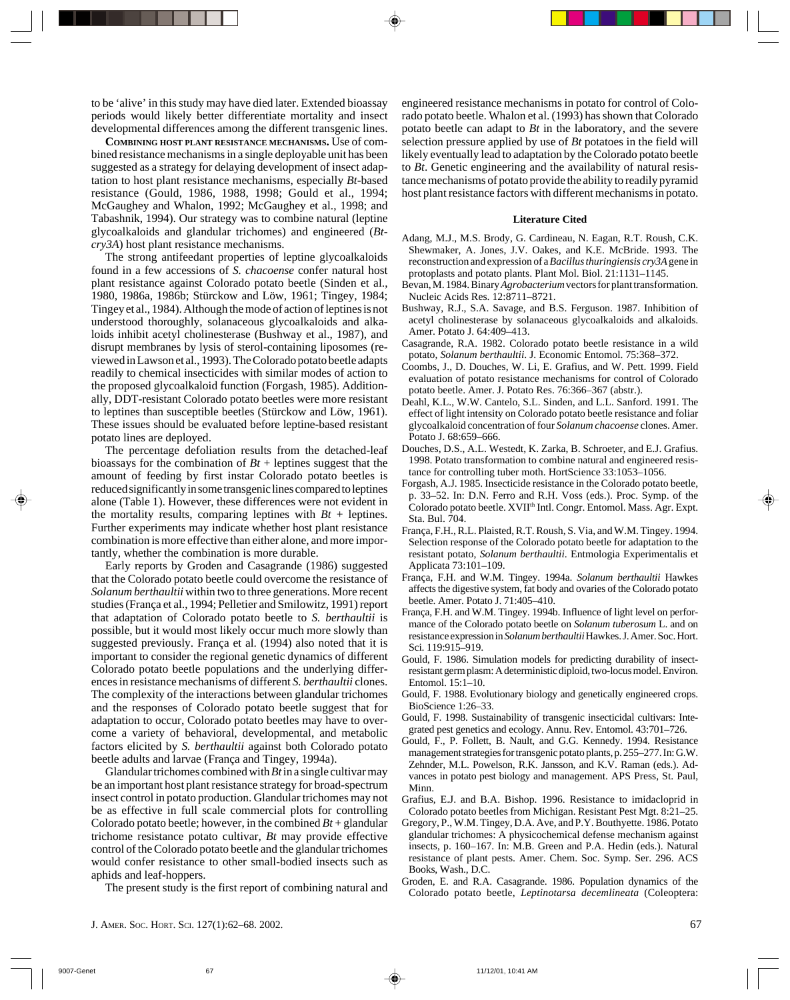to be 'alive' in this study may have died later. Extended bioassay periods would likely better differentiate mortality and insect developmental differences among the different transgenic lines.

**COMBINING HOST PLANT RESISTANCE MECHANISMS.** Use of combined resistance mechanisms in a single deployable unit has been suggested as a strategy for delaying development of insect adaptation to host plant resistance mechanisms, especially *Bt-*based resistance (Gould, 1986, 1988, 1998; Gould et al., 1994; McGaughey and Whalon, 1992; McGaughey et al., 1998; and Tabashnik, 1994). Our strategy was to combine natural (leptine glycoalkaloids and glandular trichomes) and engineered (*Btcry3A*) host plant resistance mechanisms.

The strong antifeedant properties of leptine glycoalkaloids found in a few accessions of *S. chacoense* confer natural host plant resistance against Colorado potato beetle (Sinden et al., 1980, 1986a, 1986b; Stürckow and Löw, 1961; Tingey, 1984; Tingey et al., 1984). Although the mode of action of leptines is not understood thoroughly, solanaceous glycoalkaloids and alkaloids inhibit acetyl cholinesterase (Bushway et al., 1987), and disrupt membranes by lysis of sterol-containing liposomes (reviewed in Lawson et al., 1993). The Colorado potato beetle adapts readily to chemical insecticides with similar modes of action to the proposed glycoalkaloid function (Forgash, 1985). Additionally, DDT-resistant Colorado potato beetles were more resistant to leptines than susceptible beetles (Stürckow and Löw, 1961). These issues should be evaluated before leptine-based resistant potato lines are deployed.

The percentage defoliation results from the detached-leaf bioassays for the combination of  $Bt$  + leptines suggest that the amount of feeding by first instar Colorado potato beetles is reduced significantly in some transgenic lines compared to leptines alone (Table 1). However, these differences were not evident in the mortality results, comparing leptines with  $Bt$  + leptines. Further experiments may indicate whether host plant resistance combination is more effective than either alone, and more importantly, whether the combination is more durable.

Early reports by Groden and Casagrande (1986) suggested that the Colorado potato beetle could overcome the resistance of *Solanum berthaultii* within two to three generations. More recent studies (França et al., 1994; Pelletier and Smilowitz, 1991) report that adaptation of Colorado potato beetle to *S. berthaultii* is possible, but it would most likely occur much more slowly than suggested previously. França et al. (1994) also noted that it is important to consider the regional genetic dynamics of different Colorado potato beetle populations and the underlying differences in resistance mechanisms of different *S. berthaultii* clones. The complexity of the interactions between glandular trichomes and the responses of Colorado potato beetle suggest that for adaptation to occur, Colorado potato beetles may have to overcome a variety of behavioral, developmental, and metabolic factors elicited by *S. berthaultii* against both Colorado potato beetle adults and larvae (França and Tingey, 1994a).

Glandular trichomes combined with *Bt* in a single cultivar may be an important host plant resistance strategy for broad-spectrum insect control in potato production. Glandular trichomes may not be as effective in full scale commercial plots for controlling Colorado potato beetle; however, in the combined  $Bt +$  glandular trichome resistance potato cultivar, *Bt* may provide effective control of the Colorado potato beetle and the glandular trichomes would confer resistance to other small-bodied insects such as aphids and leaf-hoppers.

The present study is the first report of combining natural and

engineered resistance mechanisms in potato for control of Colorado potato beetle. Whalon et al. (1993) has shown that Colorado potato beetle can adapt to *Bt* in the laboratory, and the severe selection pressure applied by use of *Bt* potatoes in the field will likely eventually lead to adaptation by the Colorado potato beetle to *Bt*. Genetic engineering and the availability of natural resistance mechanisms of potato provide the ability to readily pyramid host plant resistance factors with different mechanisms in potato.

#### **Literature Cited**

- Adang, M.J., M.S. Brody, G. Cardineau, N. Eagan, R.T. Roush, C.K. Shewmaker, A. Jones, J.V. Oakes, and K.E. McBride. 1993. The reconstruction and expression of a *Bacillus thuringiensis cry3A* gene in protoplasts and potato plants. Plant Mol. Biol. 21:1131–1145.
- Bevan, M. 1984. Binary *Agrobacterium* vectors for plant transformation. Nucleic Acids Res. 12:8711–8721.
- Bushway, R.J., S.A. Savage, and B.S. Ferguson. 1987. Inhibition of acetyl cholinesterase by solanaceous glycoalkaloids and alkaloids. Amer. Potato J. 64:409–413.
- Casagrande, R.A. 1982. Colorado potato beetle resistance in a wild potato, *Solanum berthaultii*. J. Economic Entomol. 75:368–372.
- Coombs, J., D. Douches, W. Li, E. Grafius, and W. Pett. 1999. Field evaluation of potato resistance mechanisms for control of Colorado potato beetle. Amer. J. Potato Res. 76:366–367 (abstr.).
- Deahl, K.L., W.W. Cantelo, S.L. Sinden, and L.L. Sanford. 1991. The effect of light intensity on Colorado potato beetle resistance and foliar glycoalkaloid concentration of four *Solanum chacoense* clones. Amer. Potato J. 68:659–666.
- Douches, D.S., A.L. Westedt, K. Zarka, B. Schroeter, and E.J. Grafius. 1998. Potato transformation to combine natural and engineered resistance for controlling tuber moth. HortScience 33:1053–1056.
- Forgash, A.J. 1985. Insecticide resistance in the Colorado potato beetle, p. 33–52. In: D.N. Ferro and R.H. Voss (eds.). Proc. Symp. of the Colorado potato beetle. XVII<sup>th</sup> Intl. Congr. Entomol. Mass. Agr. Expt. Sta. Bul. 704.
- França, F.H., R.L. Plaisted, R.T. Roush, S. Via, and W.M. Tingey. 1994. Selection response of the Colorado potato beetle for adaptation to the resistant potato, *Solanum berthaultii*. Entmologia Experimentalis et Applicata 73:101–109.
- França, F.H. and W.M. Tingey. 1994a. *Solanum berthaultii* Hawkes affects the digestive system, fat body and ovaries of the Colorado potato beetle. Amer. Potato J. 71:405–410.
- França, F.H. and W.M. Tingey. 1994b. Influence of light level on performance of the Colorado potato beetle on *Solanum tuberosum* L. and on resistance expression in *Solanum berthaultii* Hawkes. J. Amer. Soc. Hort. Sci. 119:915–919.
- Gould, F. 1986. Simulation models for predicting durability of insectresistant germ plasm: A deterministic diploid, two-locus model. Environ. Entomol. 15:1–10.
- Gould, F. 1988. Evolutionary biology and genetically engineered crops. BioScience 1:26–33.
- Gould, F. 1998. Sustainability of transgenic insecticidal cultivars: Integrated pest genetics and ecology. Annu. Rev. Entomol. 43:701–726.
- Gould, F., P. Follett, B. Nault, and G.G. Kennedy. 1994. Resistance management strategies for transgenic potato plants, p. 255–277. In: G.W. Zehnder, M.L. Powelson, R.K. Jansson, and K.V. Raman (eds.). Advances in potato pest biology and management. APS Press, St. Paul, Minn.
- Grafius, E.J. and B.A. Bishop. 1996. Resistance to imidacloprid in Colorado potato beetles from Michigan. Resistant Pest Mgt. 8:21–25.
- Gregory, P., W.M. Tingey, D.A. Ave, and P.Y. Bouthyette. 1986. Potato glandular trichomes: A physicochemical defense mechanism against insects, p. 160–167. In: M.B. Green and P.A. Hedin (eds.). Natural resistance of plant pests. Amer. Chem. Soc. Symp. Ser. 296. ACS Books, Wash., D.C.
- Groden, E. and R.A. Casagrande. 1986. Population dynamics of the Colorado potato beetle, *Leptinotarsa decemlineata* (Coleoptera: